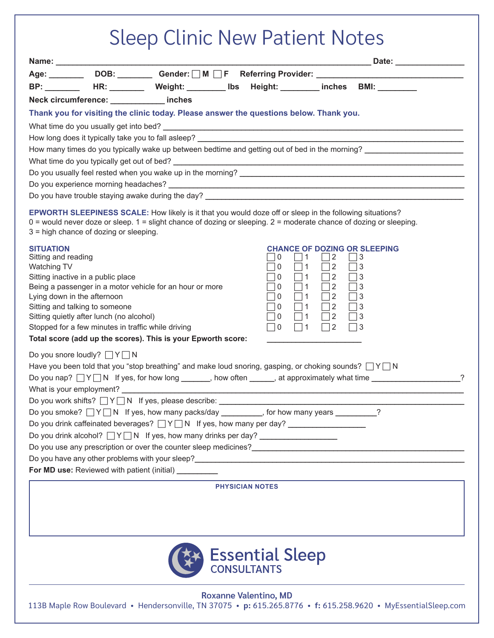| <b>Sleep Clinic New Patient Notes</b>                                                                                                                                                                                                                                          |  |  |  |
|--------------------------------------------------------------------------------------------------------------------------------------------------------------------------------------------------------------------------------------------------------------------------------|--|--|--|
| Name: ___________                                                                                                                                                                                                                                                              |  |  |  |
| Age: ________ DOB: ________ Gender: UM UF Referring Provider: ___________________                                                                                                                                                                                              |  |  |  |
| BP: ________ HR: ________ Weight: _________ lbs  Height: _________ inches  BMI: ________                                                                                                                                                                                       |  |  |  |
| Neck circumference: ____________ inches                                                                                                                                                                                                                                        |  |  |  |
| Thank you for visiting the clinic today. Please answer the questions below. Thank you.                                                                                                                                                                                         |  |  |  |
|                                                                                                                                                                                                                                                                                |  |  |  |
|                                                                                                                                                                                                                                                                                |  |  |  |
|                                                                                                                                                                                                                                                                                |  |  |  |
|                                                                                                                                                                                                                                                                                |  |  |  |
|                                                                                                                                                                                                                                                                                |  |  |  |
|                                                                                                                                                                                                                                                                                |  |  |  |
|                                                                                                                                                                                                                                                                                |  |  |  |
| EPWORTH SLEEPINESS SCALE: How likely is it that you would doze off or sleep in the following situations?<br>$0 =$ would never doze or sleep. $1 =$ slight chance of dozing or sleeping. $2 =$ moderate chance of dozing or sleeping.<br>3 = high chance of dozing or sleeping. |  |  |  |
| <b>SITUATION</b><br><b>CHANCE OF DOZING OR SLEEPING</b>                                                                                                                                                                                                                        |  |  |  |
| Sitting and reading<br>$\mathbf 0$<br>$\Box$ 1<br>2<br>3<br>$\Box$ 2<br>$\sqcap$ 0<br>$\Box$ 1<br>Watching TV<br>3                                                                                                                                                             |  |  |  |
| $\sqsupset$ 1<br>$\Box$ 2<br>Sitting inactive in a public place<br>$\sqcap$ 0<br>3                                                                                                                                                                                             |  |  |  |
| $\Box$ 2<br>Being a passenger in a motor vehicle for an hour or more<br>$\sqcap$ 0<br>$\Box$ 1<br>$\Box$ 3                                                                                                                                                                     |  |  |  |
| $\Box$ 1 $\Box$ 2<br>$\sqcap$ 0<br>$\Box$ 3<br>Lying down in the afternoon<br>$\Box$ 2<br>$\sqcap$ 0<br>$\Box$ 1<br>$\Box$ 3<br>Sitting and talking to someone                                                                                                                 |  |  |  |
| $\Box$ 1<br>$\Box$ 2 $\Box$ 3<br>Sitting quietly after lunch (no alcohol)<br>$\Box$ 0                                                                                                                                                                                          |  |  |  |
| $\Box$ 1<br>$\Box$ 2 $\Box$ 3<br>Stopped for a few minutes in traffic while driving<br>$\Box$ 0                                                                                                                                                                                |  |  |  |
| Total score (add up the scores). This is your Epworth score:                                                                                                                                                                                                                   |  |  |  |
| Do you snore loudly? $\Box Y \Box N$                                                                                                                                                                                                                                           |  |  |  |
| Have you been told that you "stop breathing" and make loud snoring, gasping, or choking sounds? $\Box Y \Box N$                                                                                                                                                                |  |  |  |
| Do you nap? $\Box Y \Box N$ If yes, for how long _______, how often ______, at approximately what time __________________?                                                                                                                                                     |  |  |  |
|                                                                                                                                                                                                                                                                                |  |  |  |
| Do you work shifts? $\Box Y \Box N$ If yes, please describe: ___________________________                                                                                                                                                                                       |  |  |  |
| Do you smoke? $\Box Y \Box N$ If yes, how many packs/day ________, for how many years _______?                                                                                                                                                                                 |  |  |  |
| Do you drink caffeinated beverages? $\Box Y \Box N$ If yes, how many per day?                                                                                                                                                                                                  |  |  |  |
| Do you drink alcohol? $\Box Y \Box N$ If yes, how many drinks per day? _________________                                                                                                                                                                                       |  |  |  |
| Do you have any other problems with your sleep?<br>The manufacturer and the contract of the contract of the contract of the contract of the contract of the contract of the contract of the contract of the contract of the cont                                               |  |  |  |
| For MD use: Reviewed with patient (initial) _________                                                                                                                                                                                                                          |  |  |  |
|                                                                                                                                                                                                                                                                                |  |  |  |
| <b>PHYSICIAN NOTES</b>                                                                                                                                                                                                                                                         |  |  |  |
| <b>Essential Sleep</b><br><b>Roxanne Valentino, MD</b>                                                                                                                                                                                                                         |  |  |  |

113B Maple Row Boulevard • Hendersonville, TN 37075 • **p:** 615.265.8776 • **f:** 615.258.9620 • MyEssentialSleep.com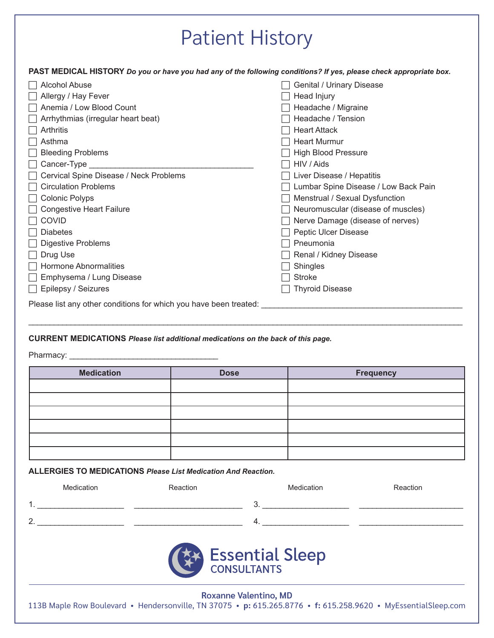## Patient History

**PAST MEDICAL HISTORY** *Do you or have you had any of the following conditions? If yes, please check appropriate box.*

| Alcohol Abuse                                                     | Genital / Urinary Disease            |
|-------------------------------------------------------------------|--------------------------------------|
| Allergy / Hay Fever                                               | Head Injury                          |
| Anemia / Low Blood Count                                          | Headache / Migraine                  |
| Arrhythmias (irregular heart beat)                                | Headache / Tension                   |
| Arthritis                                                         | <b>Heart Attack</b>                  |
| Asthma                                                            | <b>Heart Murmur</b>                  |
| <b>Bleeding Problems</b>                                          | <b>High Blood Pressure</b>           |
| Cancer-Type                                                       | HIV / Aids                           |
| Cervical Spine Disease / Neck Problems                            | Liver Disease / Hepatitis            |
| <b>Circulation Problems</b>                                       | Lumbar Spine Disease / Low Back Pain |
| <b>Colonic Polyps</b>                                             | Menstrual / Sexual Dysfunction       |
| <b>Congestive Heart Failure</b>                                   | Neuromuscular (disease of muscles)   |
| <b>COVID</b>                                                      | Nerve Damage (disease of nerves)     |
| <b>Diabetes</b>                                                   | Peptic Ulcer Disease                 |
| Digestive Problems                                                | Pneumonia                            |
| Drug Use                                                          | Renal / Kidney Disease               |
| <b>Hormone Abnormalities</b>                                      | Shingles                             |
| Emphysema / Lung Disease                                          | <b>Stroke</b>                        |
| $\Box$ Epilepsy / Seizures                                        | <b>Thyroid Disease</b>               |
| Please list any other conditions for which you have been treated: |                                      |
|                                                                   |                                      |

## **CURRENT MEDICATIONS** *Please list additional medications on the back of this page.*

Pharmacy: \_\_\_\_\_\_\_\_\_\_\_\_\_\_\_\_\_\_\_\_\_\_\_\_\_\_\_\_\_\_\_\_\_\_\_

| <b>Medication</b> | <b>Dose</b> | <b>Frequency</b> |
|-------------------|-------------|------------------|
|                   |             |                  |
|                   |             |                  |
|                   |             |                  |
|                   |             |                  |
|                   |             |                  |
|                   |             |                  |

\_\_\_\_\_\_\_\_\_\_\_\_\_\_\_\_\_\_\_\_\_\_\_\_\_\_\_\_\_\_\_\_\_\_\_\_\_\_\_\_\_\_\_\_\_\_\_\_\_\_\_\_\_\_\_\_\_\_\_\_\_\_\_\_\_\_\_\_\_\_\_\_\_\_\_\_\_\_\_\_\_\_\_\_\_\_\_\_\_\_\_\_\_\_\_\_\_\_\_\_\_\_\_

**ALLERGIES TO MEDICATIONS** *Please List Medication And Reaction.* 

| Medication      | Reaction | Medication | Reaction |  |
|-----------------|----------|------------|----------|--|
| 1               |          |            |          |  |
| っ               |          | $\Lambda$  |          |  |
| Essential Sleep |          |            |          |  |

**Roxanne Valentino, MD** 113B Maple Row Boulevard • Hendersonville, TN 37075 • **p:** 615.265.8776 • **f:** 615.258.9620 • MyEssentialSleep.com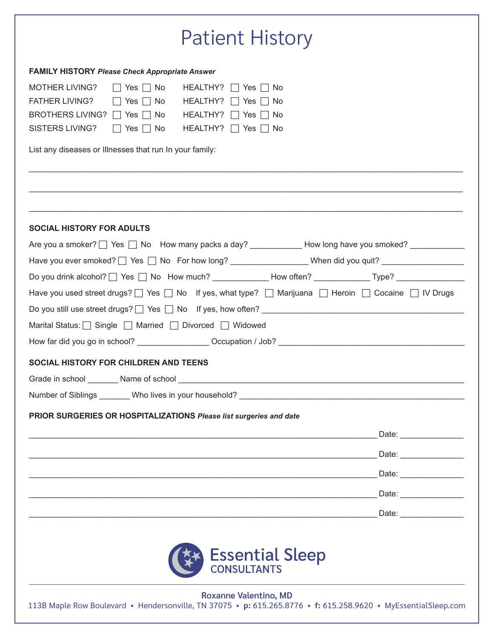| <b>FAMILY HISTORY Please Check Appropriate Answer</b><br>MOTHER LIVING?<br>$\Box$ Yes $\Box$ No HEALTHY? $\Box$ Yes $\Box$ No<br>FATHER LIVING? $\Box$ Yes $\Box$ No HEALTHY? $\Box$ Yes $\Box$ No<br>BROTHERS LIVING? $\Box$ Yes $\Box$ No HEALTHY? $\Box$ Yes $\Box$ No<br>SISTERS LIVING?   Yes   No HEALTHY?   Yes   No<br>List any diseases or Illnesses that run In your family: |
|----------------------------------------------------------------------------------------------------------------------------------------------------------------------------------------------------------------------------------------------------------------------------------------------------------------------------------------------------------------------------------------|
|                                                                                                                                                                                                                                                                                                                                                                                        |
|                                                                                                                                                                                                                                                                                                                                                                                        |
|                                                                                                                                                                                                                                                                                                                                                                                        |
|                                                                                                                                                                                                                                                                                                                                                                                        |
|                                                                                                                                                                                                                                                                                                                                                                                        |
| <b>SOCIAL HISTORY FOR ADULTS</b>                                                                                                                                                                                                                                                                                                                                                       |
| Are you a smoker? Thes Tho How many packs a day? ____________How long have you smoked? _____________                                                                                                                                                                                                                                                                                   |
| Have you ever smoked? T Yes T No For how long? __________________When did you quit? ______________________                                                                                                                                                                                                                                                                             |
| Do you drink alcohol? □ Yes □ No How much? ____________How often? ____________Type? _______________                                                                                                                                                                                                                                                                                    |
| Have you used street drugs? $\Box$ Yes $\Box$ No If yes, what type? $\Box$ Marijuana $\Box$ Heroin $\Box$ Cocaine $\Box$ IV Drugs                                                                                                                                                                                                                                                      |
|                                                                                                                                                                                                                                                                                                                                                                                        |
| Marital Status: Single Married Divorced Widowed                                                                                                                                                                                                                                                                                                                                        |
|                                                                                                                                                                                                                                                                                                                                                                                        |
| SOCIAL HISTORY FOR CHILDREN AND TEENS                                                                                                                                                                                                                                                                                                                                                  |
|                                                                                                                                                                                                                                                                                                                                                                                        |
|                                                                                                                                                                                                                                                                                                                                                                                        |
| Number of Siblings ________Who lives in your household? _________________________                                                                                                                                                                                                                                                                                                      |
| PRIOR SURGERIES OR HOSPITALIZATIONS Please list surgeries and date                                                                                                                                                                                                                                                                                                                     |
|                                                                                                                                                                                                                                                                                                                                                                                        |
|                                                                                                                                                                                                                                                                                                                                                                                        |
|                                                                                                                                                                                                                                                                                                                                                                                        |
|                                                                                                                                                                                                                                                                                                                                                                                        |
|                                                                                                                                                                                                                                                                                                                                                                                        |
| Essential Sleep<br><b>Roxanne Valentino, MD</b>                                                                                                                                                                                                                                                                                                                                        |